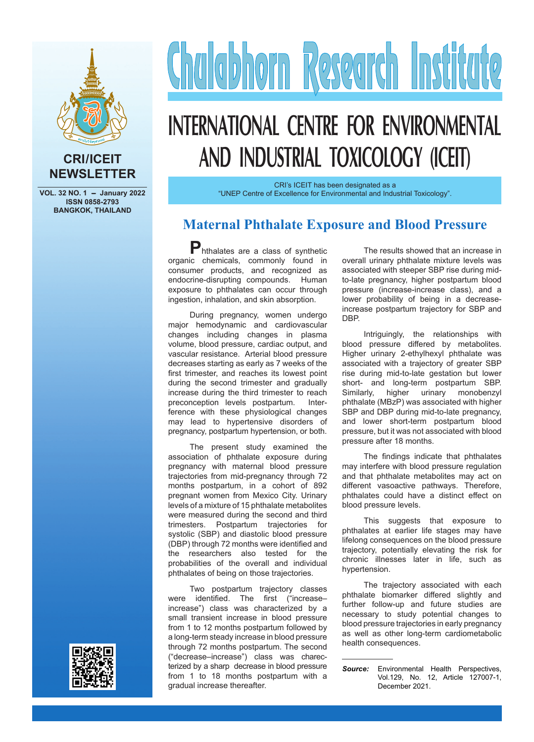

### **CRI/ICEIT NEWSLETTER**

**VOL. 32 NO. 1 - January 2022 ISSN 0858-2793 BANGKOK, THAILAND**



# **INTERNATIONAL CENTRE FOR ENVIRONMENTAL AND INDUSTRIAL TOXICOLOGY (ICEIT)**

CRI's ICEIT has been designated as a "UNEP Centre of Excellence for Environmental and Industrial Toxicology".

### **Maternal Phthalate Exposure and Blood Pressure**

**P**hthalates are a class of synthetic organic chemicals, commonly found in consumer products, and recognized as endocrine-disrupting compounds. Human exposure to phthalates can occur through ingestion, inhalation, and skin absorption.

During pregnancy, women undergo major hemodynamic and cardiovascular changes including changes in plasma volume, blood pressure, cardiac output, and vascular resistance. Arterial blood pressure decreases starting as early as 7 weeks of the first trimester, and reaches its lowest point during the second trimester and gradually increase during the third trimester to reach preconception levels postpartum. Interference with these physiological changes may lead to hypertensive disorders of pregnancy, postpartum hypertension, or both.

The present study examined the association of phthalate exposure during pregnancy with maternal blood pressure trajectories from mid-pregnancy through 72 months postpartum, in a cohort of 892 pregnant women from Mexico City. Urinary levels of a mixture of 15 phthalate metabolites were measured during the second and third trimesters. Postpartum trajectories for systolic (SBP) and diastolic blood pressure (DBP) through 72 months were identified and the researchers also tested for the probabilities of the overall and individual phthalates of being on those trajectories.

Two postpartum trajectory classes were identified. The first ("increase– increase") class was characterized by a small transient increase in blood pressure from 1 to 12 months postpartum followed by a long-term steady increase in blood pressure through 72 months postpartum. The second ("decrease–increase") class was charecterized by a sharp decrease in blood pressure from 1 to 18 months postpartum with a gradual increase thereafter.

The results showed that an increase in overall urinary phthalate mixture levels was associated with steeper SBP rise during midto-late pregnancy, higher postpartum blood pressure (increase-increase class), and a lower probability of being in a decreaseincrease postpartum trajectory for SBP and DBP.

Intriguingly, the relationships with blood pressure differed by metabolites. Higher urinary 2-ethylhexyl phthalate was associated with a trajectory of greater SBP rise during mid-to-late gestation but lower short- and long-term postpartum SBP. Similarly, higher urinary monobenzyl phthalate (MBzP) was associated with higher SBP and DBP during mid-to-late pregnancy, and lower short-term postpartum blood pressure, but it was not associated with blood pressure after 18 months.

The findings indicate that phthalates may interfere with blood pressure regulation and that phthalate metabolites may act on different vasoactive pathways. Therefore, phthalates could have a distinct effect on blood pressure levels.

This suggests that exposure to phthalates at earlier life stages may have lifelong consequences on the blood pressure trajectory, potentially elevating the risk for chronic illnesses later in life, such as hypertension.

The trajectory associated with each phthalate biomarker differed slightly and further follow-up and future studies are necessary to study potential changes to blood pressure trajectories in early pregnancy as well as other long-term cardiometabolic health consequences.



*Source:* Environmental Health Perspectives, Vol.129, No. 12, Article 127007-1, December 2021.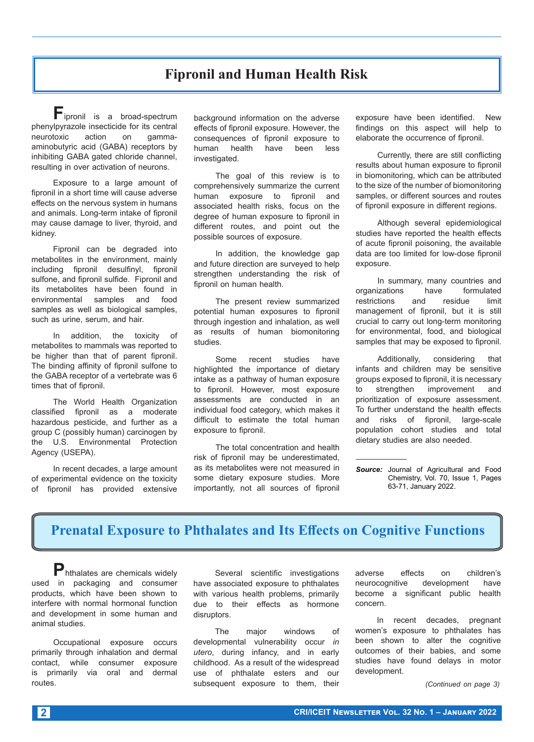### **Fipronil and Human Health Risk**

**F**ipronil is a broad-spectrum phenylpyrazole insecticide for its central neurotoxic action on gammaaminobutyric acid (GABA) receptors by inhibiting GABA gated chloride channel, resulting in over activation of neurons.

Exposure to a large amount of fipronil in a short time will cause adverse effects on the nervous system in humans and animals. Long-term intake of fipronil may cause damage to liver, thyroid, and kidney.

Fipronil can be degraded into metabolites in the environment, mainly including fipronil desulfinyl, fipronil sulfone, and fipronil sulfide. Fipronil and its metabolites have been found in<br>environmental samples and food environmental samples and food samples as well as biological samples. such as urine, serum, and hair.

In addition, the toxicity of metabolites to mammals was reported to be higher than that of parent fipronil. The binding affinity of fipronil sulfone to the GABA receptor of a vertebrate was 6 times that of fipronil.

The World Health Organization classified fipronil as a moderate hazardous pesticide, and further as a group C (possibly human) carcinogen by the U.S. Environmental Protection Agency (USEPA).

In recent decades, a large amount of experimental evidence on the toxicity of fipronil has provided extensive background information on the adverse effects of fipronil exposure. However, the consequences of fipronil exposure to human health have been less investigated.

The goal of this review is to comprehensively summarize the current human exposure to fipronil and associated health risks, focus on the degree of human exposure to fipronil in different routes, and point out the possible sources of exposure.

In addition, the knowledge gap and future direction are surveyed to help strengthen understanding the risk of fipronil on human health.

The present review summarized potential human exposures to fipronil through ingestion and inhalation, as well as results of human biomonitoring studies.

Some recent studies have highlighted the importance of dietary intake as a pathway of human exposure to fipronil. However, most exposure assessments are conducted in an individual food category, which makes it difficult to estimate the total human exposure to fipronil.

The total concentration and health risk of fipronil may be underestimated, as its metabolites were not measured in some dietary exposure studies. More importantly, not all sources of fipronil

exposure have been identified. New findings on this aspect will help to elaborate the occurrence of fipronil.

Currently, there are still conflicting results about human exposure to fipronil in biomonitoring, which can be attributed to the size of the number of biomonitoring samples, or different sources and routes of fipronil exposure in different regions.

Although several epidemiological studies have reported the health effects of acute fipronil poisoning, the available data are too limited for low-dose fipronil exposure.

In summary, many countries and<br>izations bave formulated organizations restrictions and residue limit management of fipronil, but it is still crucial to carry out long-term monitoring for environmental, food, and biological samples that may be exposed to fipronil.

Additionally, considering that infants and children may be sensitive groups exposed to fipronil, it is necessary to strengthen improvement and prioritization of exposure assessment. To further understand the health effects and risks of fipronil, large-scale population cohort studies and total dietary studies are also needed.

*Source:* Journal of Agricultural and Food Chemistry, Vol. 70, Issue 1, Pages 63-71, January 2022.

### **Prenatal Exposure to Phthalates and Its Effects on Cognitive Functions**

**P**hthalates are chemicals widely used in packaging and consumer products, which have been shown to interfere with normal hormonal function and development in some human and animal studies.

Occupational exposure occurs primarily through inhalation and dermal contact, while consumer exposure is primarily via oral and dermal routes.

Several scientific investigations have associated exposure to phthalates with various health problems, primarily due to their effects as hormone disruptors.

The major windows of developmental vulnerability occur *in utero*, during infancy, and in early childhood. As a result of the widespread use of phthalate esters and our subsequent exposure to them, their

adverse effects on children's neurocognitive development have become a significant public health concern.

In recent decades, pregnant women's exposure to phthalates has been shown to alter the cognitive outcomes of their babies, and some studies have found delays in motor development.

*(Continued on page 3)*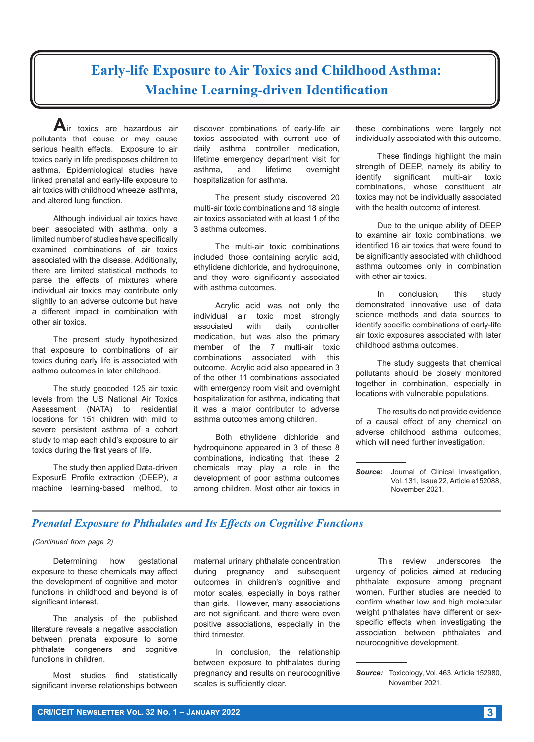# **Early-life Exposure to Air Toxics and Childhood Asthma: Machine Learning-driven Identification**

**A**ir toxics are hazardous air pollutants that cause or may cause serious health effects. Exposure to air toxics early in life predisposes children to asthma. Epidemiological studies have linked prenatal and early-life exposure to air toxics with childhood wheeze, asthma, and altered lung function.

Although individual air toxics have been associated with asthma, only a limited number of studies have specifically examined combinations of air toxics associated with the disease. Additionally, there are limited statistical methods to parse the effects of mixtures where individual air toxics may contribute only slightly to an adverse outcome but have a different impact in combination with other air toxics.

The present study hypothesized that exposure to combinations of air toxics during early life is associated with asthma outcomes in later childhood.

The study geocoded 125 air toxic levels from the US National Air Toxics Assessment (NATA) to residential locations for 151 children with mild to severe persistent asthma of a cohort study to map each child's exposure to air toxics during the first years of life.

The study then applied Data-driven ExposurE Profile extraction (DEEP), a machine learning-based method, to discover combinations of early-life air toxics associated with current use of daily asthma controller medication, lifetime emergency department visit for<br>asthma. and lifetime overnight overnight hospitalization for asthma.

The present study discovered 20 multi-air toxic combinations and 18 single air toxics associated with at least 1 of the 3 asthma outcomes.

The multi-air toxic combinations included those containing acrylic acid, ethylidene dichloride, and hydroquinone, and they were significantly associated with asthma outcomes.

Acrylic acid was not only the individual air toxic most strongly associated with daily controller medication, but was also the primary member of the 7 multi-air toxic combinations associated with this outcome. Acrylic acid also appeared in 3 of the other 11 combinations associated with emergency room visit and overnight hospitalization for asthma, indicating that it was a major contributor to adverse asthma outcomes among children.

Both ethylidene dichloride and hydroquinone appeared in 3 of these 8 combinations, indicating that these 2 chemicals may play a role in the development of poor asthma outcomes among children. Most other air toxics in these combinations were largely not individually associated with this outcome,

These findings highlight the main strength of DEEP, namely its ability to<br>identify significant multi-air toxic significant multi-air toxic combinations, whose constituent air toxics may not be individually associated with the health outcome of interest.

Due to the unique ability of DEEP to examine air toxic combinations, we identified 16 air toxics that were found to be significantly associated with childhood asthma outcomes only in combination with other air toxics.

In conclusion, this study demonstrated innovative use of data science methods and data sources to identify specific combinations of early-life air toxic exposures associated with later childhood asthma outcomes.

The study suggests that chemical pollutants should be closely monitored together in combination, especially in locations with vulnerable populations.

The results do not provide evidence of a causal effect of any chemical on adverse childhood asthma outcomes, which will need further investigation.

*Source:* Journal of Clinical Investigation, Vol. 131, Issue 22, Article e152088, November 2021.

#### *Prenatal Exposure to Phthalates and Its Effects on Cognitive Functions*

#### *(Continued from page 2)*

Determining how gestational exposure to these chemicals may affect the development of cognitive and motor functions in childhood and beyond is of significant interest.

The analysis of the published literature reveals a negative association between prenatal exposure to some phthalate congeners and cognitive functions in children.

Most studies find statistically significant inverse relationships between maternal urinary phthalate concentration during pregnancy and subsequent outcomes in children's cognitive and motor scales, especially in boys rather than girls. However, many associations are not significant, and there were even positive associations, especially in the third trimester.

In conclusion, the relationship between exposure to phthalates during pregnancy and results on neurocognitive scales is sufficiently clear.

This review underscores the urgency of policies aimed at reducing phthalate exposure among pregnant women. Further studies are needed to confirm whether low and high molecular weight phthalates have different or sexspecific effects when investigating the association between phthalates and neurocognitive development.

*Source:* Toxicology, Vol. 463, Article 152980, November 2021.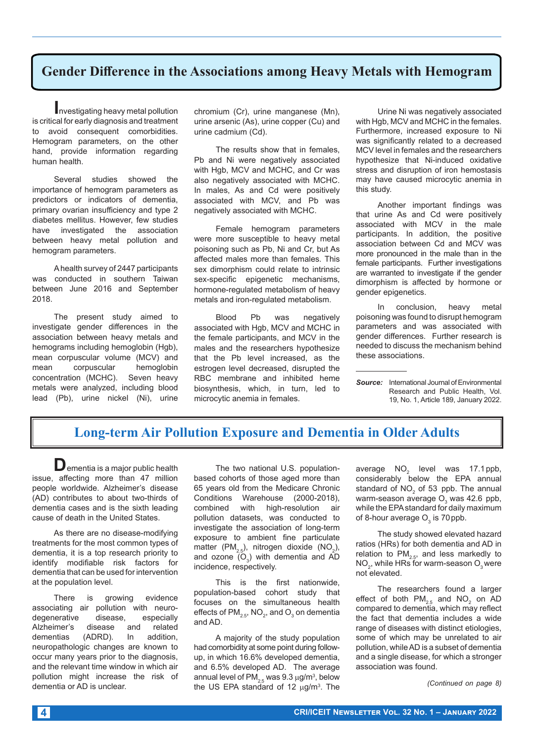# **Gender Difference in the Associations among Heavy Metals with Hemogram**

**I**nvestigating heavy metal pollution is critical for early diagnosis and treatment to avoid consequent comorbidities. Hemogram parameters, on the other hand, provide information regarding human health.

Several studies showed the importance of hemogram parameters as predictors or indicators of dementia, primary ovarian insufficiency and type 2 diabetes mellitus. However, few studies have investigated the association between heavy metal pollution and hemogram parameters.

A health survey of 2447 participants was conducted in southern Taiwan between June 2016 and September 2018.

The present study aimed to investigate gender differences in the association between heavy metals and hemograms including hemoglobin (Hgb), mean corpuscular volume (MCV) and<br>mean corpuscular hemoglobin mean corpuscular hemoglobin concentration (MCHC). Seven heavy metals were analyzed, including blood lead (Pb), urine nickel (Ni), urine

chromium (Cr), urine manganese (Mn), urine arsenic (As), urine copper (Cu) and urine cadmium (Cd).

The results show that in females, Pb and Ni were negatively associated with Hgb, MCV and MCHC, and Cr was also negatively associated with MCHC. In males, As and Cd were positively associated with MCV, and Pb was negatively associated with MCHC.

Female hemogram parameters were more susceptible to heavy metal poisoning such as Pb, Ni and Cr, but As affected males more than females. This sex dimorphism could relate to intrinsic sex-specific epigenetic mechanisms, hormone-regulated metabolism of heavy metals and iron-regulated metabolism.

Blood Pb was negatively associated with Hgb, MCV and MCHC in the female participants, and MCV in the males and the researchers hypothesize that the Pb level increased, as the estrogen level decreased, disrupted the RBC membrane and inhibited heme biosynthesis, which, in turn, led to microcytic anemia in females.

Urine Ni was negatively associated with Hgb, MCV and MCHC in the females. Furthermore, increased exposure to Ni was significantly related to a decreased MCV level in females and the researchers hypothesize that Ni-induced oxidative stress and disruption of iron hemostasis may have caused microcytic anemia in this study.

Another important findings was that urine As and Cd were positively associated with MCV in the male participants. In addition, the positive association between Cd and MCV was more pronounced in the male than in the female participants. Further investigations are warranted to investigate if the gender dimorphism is affected by hormone or gender epigenetics.

In conclusion, heavy metal poisoning was found to disrupt hemogram parameters and was associated with gender differences. Further research is needed to discuss the mechanism behind these associations.

*Source:* International Journal of Environmental Research and Public Health, Vol. 19, No. 1, Article 189, January 2022.

#### **Long-term Air Pollution Exposure and Dementia in Older Adults**

**D**ementia is a major public health issue, affecting more than 47 million people worldwide. Alzheimer's disease (AD) contributes to about two-thirds of dementia cases and is the sixth leading cause of death in the United States.

As there are no disease-modifying treatments for the most common types of dementia, it is a top research priority to identify modifiable risk factors for dementia that can be used for intervention at the population level.

There is growing evidence associating air pollution with neurodegenerative disease, especially Alzheimer's disease and related dementias (ADRD). In addition, neuropathologic changes are known to occur many years prior to the diagnosis, and the relevant time window in which air pollution might increase the risk of dementia or AD is unclear.

The two national U.S. populationbased cohorts of those aged more than 65 years old from the Medicare Chronic Conditions Warehouse (2000-2018), combined with high-resolution air pollution datasets, was conducted to investigate the association of long-term exposure to ambient fine particulate matter (PM<sub>2.5</sub>), nitrogen dioxide (NO<sub>2</sub>), and ozone  $(\mathsf{O}_3)$  with dementia and AD incidence, respectively.

This is the first nationwide, population-based cohort study that focuses on the simultaneous health effects of PM $_{\rm 2.5}$ , NO $_{\rm 2}$ , and O $_{\rm 3}$  on dementia and AD.

A majority of the study population had comorbidity at some point during followup, in which 16.6% developed dementia, and 6.5% developed AD. The average annual level of PM $_{2.5}$  was 9.3  $\mu$ g/m $^3$ , below the US EPA standard of 12  $\mu$ g/m<sup>3</sup>. The average  $NO<sub>2</sub>$  level was 17.1 ppb, considerably below the EPA annual standard of  $NO<sub>2</sub>$  of 53 ppb. The annual warm-season average  $\mathrm{O}_3$  was 42.6 ppb, while the EPA standard for daily maximum of 8-hour average  $\overline{\mathrm{O}}_{3}$  is 70 ppb.

The study showed elevated hazard ratios (HRs) for both dementia and AD in relation to  $PM_{2.5}$ , and less markedly to NO $_{\rm _2}$ , while HRs for warm-season O $_{\rm _3}$ were not elevated.

The researchers found a larger effect of both  $\mathsf{PM}_{2.5}$  and  $\mathsf{NO}_{2}$  on AD compared to dementia, which may reflect the fact that dementia includes a wide range of diseases with distinct etiologies, some of which may be unrelated to air pollution, while AD is a subset of dementia and a single disease, for which a stronger association was found.

*(Continued on page 8)*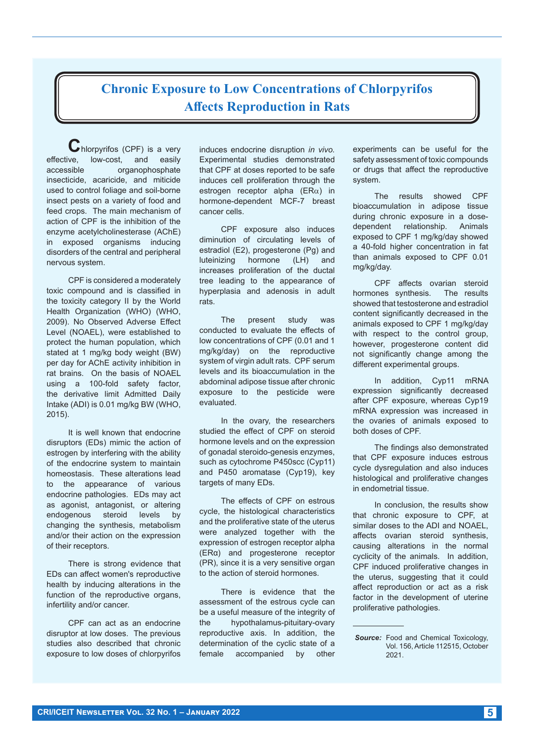### **Chronic Exposure to Low Concentrations of Chlorpyrifos Affects Reproduction in Rats**

**C**hlorpyrifos (CPF) is a very<br>effective, low-cost, and easily and easily accessible organophosphate insecticide, acaricide, and miticide used to control foliage and soil-borne insect pests on a variety of food and feed crops. The main mechanism of action of CPF is the inhibition of the enzyme acetylcholinesterase (AChE) in exposed organisms inducing disorders of the central and peripheral nervous system.

CPF is considered a moderately toxic compound and is classified in the toxicity category II by the World Health Organization (WHO) (WHO, 2009). No Observed Adverse Effect Level (NOAEL), were established to protect the human population, which stated at 1 mg/kg body weight (BW) per day for AChE activity inhibition in rat brains. On the basis of NOAEL using a 100-fold safety factor, the derivative limit Admitted Daily Intake (ADI) is 0.01 mg/kg BW (WHO, 2015).

It is well known that endocrine disruptors (EDs) mimic the action of estrogen by interfering with the ability of the endocrine system to maintain homeostasis. These alterations lead to the appearance of various endocrine pathologies. EDs may act as agonist, antagonist, or altering endogenous steroid levels by changing the synthesis, metabolism and/or their action on the expression of their receptors.

There is strong evidence that EDs can affect women's reproductive health by inducing alterations in the function of the reproductive organs, infertility and/or cancer.

CPF can act as an endocrine disruptor at low doses. The previous studies also described that chronic exposure to low doses of chlorpyrifos induces endocrine disruption *in vivo.* Experimental studies demonstrated that CPF at doses reported to be safe induces cell proliferation through the estrogen receptor alpha ( $ER\alpha$ ) in hormone-dependent MCF-7 breast cancer cells.

CPF exposure also induces diminution of circulating levels of estradiol (E2), progesterone (Pg) and luteinizing hormone (LH) and increases proliferation of the ductal tree leading to the appearance of hyperplasia and adenosis in adult rats.

The present study was conducted to evaluate the effects of low concentrations of CPF (0.01 and 1 mg/kg/day) on the reproductive system of virgin adult rats. CPF serum levels and its bioaccumulation in the abdominal adipose tissue after chronic exposure to the pesticide were evaluated.

In the ovary, the researchers studied the effect of CPF on steroid hormone levels and on the expression of gonadal steroido-genesis enzymes, such as cytochrome P450scc (Cyp11) and P450 aromatase (Cyp19), key targets of many EDs.

The effects of CPF on estrous cycle, the histological characteristics and the proliferative state of the uterus were analyzed together with the expression of estrogen receptor alpha (ERα) and progesterone receptor (PR), since it is a very sensitive organ to the action of steroid hormones.

There is evidence that the assessment of the estrous cycle can be a useful measure of the integrity of the hypothalamus-pituitary-ovary reproductive axis. In addition, the determination of the cyclic state of a female accompanied by other experiments can be useful for the safety assessment of toxic compounds or drugs that affect the reproductive system.

The results showed CPF bioaccumulation in adipose tissue during chronic exposure in a dosedependent relationship. Animals exposed to CPF 1 mg/kg/day showed a 40-fold higher concentration in fat than animals exposed to CPF 0.01 mg/kg/day.

CPF affects ovarian steroid hormones synthesis. The results showed that testosterone and estradiol content significantly decreased in the animals exposed to CPF 1 mg/kg/day with respect to the control group, however, progesterone content did not significantly change among the different experimental groups.

In addition, Cyp11 mRNA expression significantly decreased after CPF exposure, whereas Cyp19 mRNA expression was increased in the ovaries of animals exposed to both doses of CPF.

The findings also demonstrated that CPF exposure induces estrous cycle dysregulation and also induces histological and proliferative changes in endometrial tissue.

In conclusion, the results show that chronic exposure to CPF, at similar doses to the ADI and NOAEL, affects ovarian steroid synthesis, causing alterations in the normal cyclicity of the animals. In addition, CPF induced proliferative changes in the uterus, suggesting that it could affect reproduction or act as a risk factor in the development of uterine proliferative pathologies.

**Source:** Food and Chemical Toxicology, Vol. 156, Article 112515, October 2021.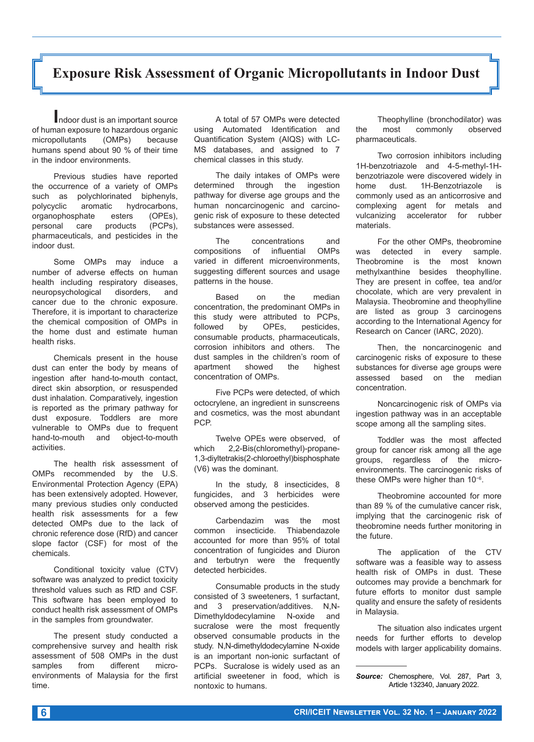# **Exposure Risk Assessment of Organic Micropollutants in Indoor Dust**

**I**ndoor dust is an important source of human exposure to hazardous organic<br>micropollutants (OMPs) because micropollutants (OMPs) because humans spend about 90 % of their time in the indoor environments.

Previous studies have reported the occurrence of a variety of OMPs such as polychlorinated biphenyls,<br>polycyclic aromatic hydrocarbons. polycyclic aromatic hydrocarbons, organophosphate esters (OPEs), personal care products (PCPs), pharmaceuticals, and pesticides in the indoor dust.

Some OMPs may induce a number of adverse effects on human health including respiratory diseases,<br>neuropsychological disorders. and neuropsychological disorders, and cancer due to the chronic exposure. Therefore, it is important to characterize the chemical composition of OMPs in the home dust and estimate human health risks.

Chemicals present in the house dust can enter the body by means of ingestion after hand-to-mouth contact, direct skin absorption, or resuspended dust inhalation. Comparatively, ingestion is reported as the primary pathway for dust exposure. Toddlers are more vulnerable to OMPs due to frequent hand-to-mouth and object-to-mouth activities.

The health risk assessment of OMPs recommended by the U.S. Environmental Protection Agency (EPA) has been extensively adopted. However, many previous studies only conducted health risk assessments for a few detected OMPs due to the lack of chronic reference dose (RfD) and cancer slope factor (CSF) for most of the chemicals.

Conditional toxicity value (CTV) software was analyzed to predict toxicity threshold values such as RfD and CSF. This software has been employed to conduct health risk assessment of OMPs in the samples from groundwater.

The present study conducted a comprehensive survey and health risk assessment of 508 OMPs in the dust samples from different microenvironments of Malaysia for the first time.

A total of 57 OMPs were detected using Automated Identification and Quantification System (AIQS) with LC-MS databases, and assigned to 7 chemical classes in this study.

The daily intakes of OMPs were determined through the ingestion pathway for diverse age groups and the human noncarcinogenic and carcinogenic risk of exposure to these detected substances were assessed.

The concentrations and compositions of influential OMPs varied in different microenvironments, suggesting different sources and usage patterns in the house.

Based on the median concentration, the predominant OMPs in this study were attributed to PCPs, followed by OPEs, pesticides, consumable products, pharmaceuticals, corrosion inhibitors and others. The dust samples in the children's room of apartment showed the highest concentration of OMPs.

Five PCPs were detected, of which octocrylene, an ingredient in sunscreens and cosmetics, was the most abundant PCP.

Twelve OPEs were observed, of which 2,2-Bis(chloromethyl)-propane-1,3-diyltetrakis(2-chloroethyl)bisphosphate (V6) was the dominant.

In the study, 8 insecticides, 8 fungicides, and 3 herbicides were observed among the pesticides.

Carbendazim was the most common insecticide. Thiabendazole accounted for more than 95% of total concentration of fungicides and Diuron and terbutryn were the frequently detected herbicides.

Consumable products in the study consisted of 3 sweeteners, 1 surfactant, and 3 preservation/additives. N,N-Dimethyldodecylamine N-oxide and sucralose were the most frequently observed consumable products in the study. N,N-dimethyldodecylamine N-oxide is an important non-ionic surfactant of PCPs. Sucralose is widely used as an artificial sweetener in food, which is nontoxic to humans.

Theophylline (bronchodilator) was the most commonly pharmaceuticals.

Two corrosion inhibitors including 1H-benzotriazole and 4-5-methyl-1Hbenzotriazole were discovered widely in home dust. 1H-Benzotriazole is commonly used as an anticorrosive and complexing agent for metals and vulcanizing accelerator for rubber materials.

For the other OMPs, theobromine was detected in every sample. Theobromine is the most known methylxanthine besides theophylline. They are present in coffee, tea and/or chocolate, which are very prevalent in Malaysia. Theobromine and theophylline are listed as group 3 carcinogens according to the International Agency for Research on Cancer (IARC, 2020).

Then, the noncarcinogenic and carcinogenic risks of exposure to these substances for diverse age groups were assessed based on the median concentration.

Noncarcinogenic risk of OMPs via ingestion pathway was in an acceptable scope among all the sampling sites.

Toddler was the most affected group for cancer risk among all the age groups, regardless of the microenvironments. The carcinogenic risks of these OMPs were higher than 10−6.

Theobromine accounted for more than 89 % of the cumulative cancer risk, implying that the carcinogenic risk of theobromine needs further monitoring in the future.

The application of the CTV software was a feasible way to assess health risk of OMPs in dust. These outcomes may provide a benchmark for future efforts to monitor dust sample quality and ensure the safety of residents in Malaysia.

The situation also indicates urgent needs for further efforts to develop models with larger applicability domains.

*Source:* Chemosphere, Vol. 287, Part 3, Article 132340, January 2022.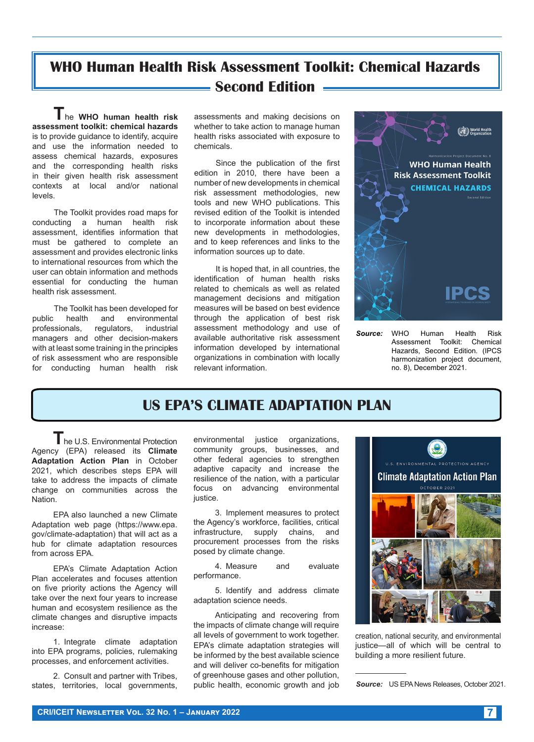## **WHO Human Health Risk Assessment Toolkit: Chemical Hazards Second Edition**

**T**he **WHO human health risk assessment toolkit: chemical hazards**  is to provide guidance to identify, acquire and use the information needed to assess chemical hazards, exposures and the corresponding health risks in their given health risk assessment contexts at local and/or national levels.

The Toolkit provides road maps for conducting a human health risk assessment, identifies information that must be gathered to complete an assessment and provides electronic links to international resources from which the user can obtain information and methods essential for conducting the human health risk assessment.

The Toolkit has been developed for public health and environmental professionals, regulators, industrial managers and other decision-makers with at least some training in the principles of risk assessment who are responsible for conducting human health risk assessments and making decisions on whether to take action to manage human health risks associated with exposure to chemicals.

Since the publication of the first edition in 2010, there have been a number of new developments in chemical risk assessment methodologies, new tools and new WHO publications. This revised edition of the Toolkit is intended to incorporate information about these new developments in methodologies, and to keep references and links to the information sources up to date.

It is hoped that, in all countries, the identification of human health risks related to chemicals as well as related management decisions and mitigation measures will be based on best evidence through the application of best risk assessment methodology and use of available authoritative risk assessment information developed by international organizations in combination with locally relevant information.



*Source:* WHO Human Health Risk Assessment Toolkit: Chemical Hazards, Second Edition. (IPCS harmonization project document, no. 8), December 2021.

### **US FPA'S CLIMATE ADAPTATION PLAN**

**T** he U.S. Environmental Protection Agency (EPA) released its **Climate Adaptation Action Plan** in October 2021, which describes steps EPA will take to address the impacts of climate change on communities across the Nation.

EPA also launched a new Climate Adaptation web page (https://www.epa. gov/climate-adaptation) that will act as a hub for climate adaptation resources from across EPA.

EPA's Climate Adaptation Action Plan accelerates and focuses attention on five priority actions the Agency will take over the next four years to increase human and ecosystem resilience as the climate changes and disruptive impacts increase:

1. Integrate climate adaptation into EPA programs, policies, rulemaking processes, and enforcement activities.

2. Consult and partner with Tribes, states, territories, local governments,

environmental justice organizations, community groups, businesses, and other federal agencies to strengthen adaptive capacity and increase the resilience of the nation, with a particular focus on advancing environmental justice.

3. Implement measures to protect the Agency's workforce, facilities, critical infrastructure, supply chains, and procurement processes from the risks posed by climate change.

4. Measure and evaluate performance.

5. Identify and address climate adaptation science needs.

Anticipating and recovering from the impacts of climate change will require all levels of government to work together. EPA's climate adaptation strategies will be informed by the best available science and will deliver co-benefits for mitigation of greenhouse gases and other pollution, public health, economic growth and job



creation, national security, and environmental justice—all of which will be central to building a more resilient future.

*Source:* US EPA News Releases, October 2021.